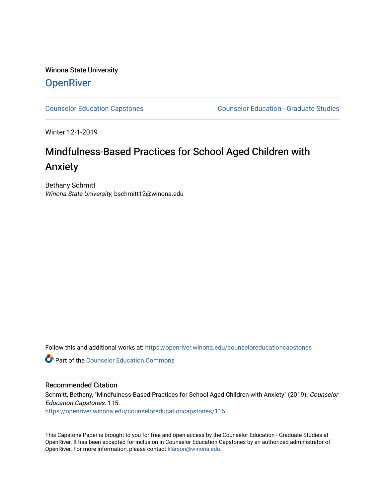Winona State University **OpenRiver** 

[Counselor Education Capstones](https://openriver.winona.edu/counseloreducationcapstones) [Counselor Education - Graduate Studies](https://openriver.winona.edu/counseloreducation) 

Winter 12-1-2019

# Mindfulness-Based Practices for School Aged Children with Anxiety

Bethany Schmitt Winona State University, bschmitt12@winona.edu

Follow this and additional works at: [https://openriver.winona.edu/counseloreducationcapstones](https://openriver.winona.edu/counseloreducationcapstones?utm_source=openriver.winona.edu%2Fcounseloreducationcapstones%2F115&utm_medium=PDF&utm_campaign=PDFCoverPages)

**C** Part of the Counselor Education Commons

#### Recommended Citation

Schmitt, Bethany, "Mindfulness-Based Practices for School Aged Children with Anxiety" (2019). Counselor Education Capstones. 115.

[https://openriver.winona.edu/counseloreducationcapstones/115](https://openriver.winona.edu/counseloreducationcapstones/115?utm_source=openriver.winona.edu%2Fcounseloreducationcapstones%2F115&utm_medium=PDF&utm_campaign=PDFCoverPages)

This Capstone Paper is brought to you for free and open access by the Counselor Education - Graduate Studies at OpenRiver. It has been accepted for inclusion in Counselor Education Capstones by an authorized administrator of OpenRiver. For more information, please contact [klarson@winona.edu](mailto:klarson@winona.edu).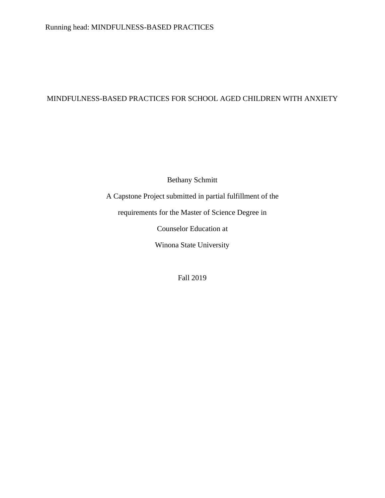# MINDFULNESS-BASED PRACTICES FOR SCHOOL AGED CHILDREN WITH ANXIETY

Bethany Schmitt

A Capstone Project submitted in partial fulfillment of the

requirements for the Master of Science Degree in

Counselor Education at

Winona State University

Fall 2019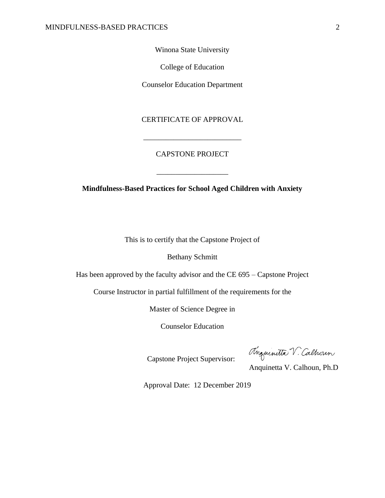Winona State University

College of Education

Counselor Education Department

### CERTIFICATE OF APPROVAL

\_\_\_\_\_\_\_\_\_\_\_\_\_\_\_\_\_\_\_\_\_\_\_\_\_\_

## CAPSTONE PROJECT

\_\_\_\_\_\_\_\_\_\_\_\_\_\_\_\_\_\_\_

**Mindfulness-Based Practices for School Aged Children with Anxiety**

This is to certify that the Capstone Project of

Bethany Schmitt

Has been approved by the faculty advisor and the CE 695 – Capstone Project

Course Instructor in partial fulfillment of the requirements for the

Master of Science Degree in

Counselor Education

Anguinitta V. Calhoun

Capstone Project Supervisor:

Anquinetta V. Calhoun, Ph.D

Approval Date: 12 December 2019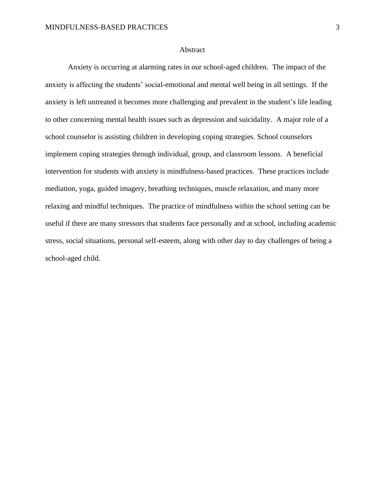#### Abstract

Anxiety is occurring at alarming rates in our school-aged children. The impact of the anxiety is affecting the students' social-emotional and mental well being in all settings. If the anxiety is left untreated it becomes more challenging and prevalent in the student's life leading to other concerning mental health issues such as depression and suicidality. A major role of a school counselor is assisting children in developing coping strategies. School counselors implement coping strategies through individual, group, and classroom lessons. A beneficial intervention for students with anxiety is mindfulness-based practices. These practices include mediation, yoga, guided imagery, breathing techniques, muscle relaxation, and many more relaxing and mindful techniques. The practice of mindfulness within the school setting can be useful if there are many stressors that students face personally and at school, including academic stress, social situations, personal self-esteem, along with other day to day challenges of being a school-aged child.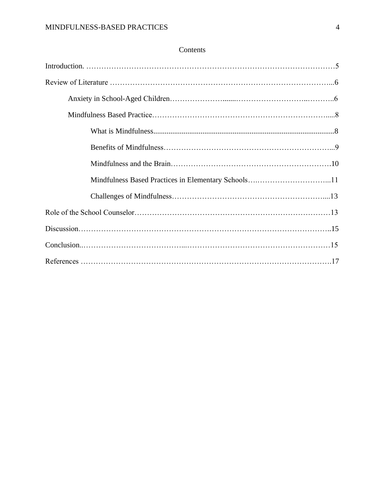## Contents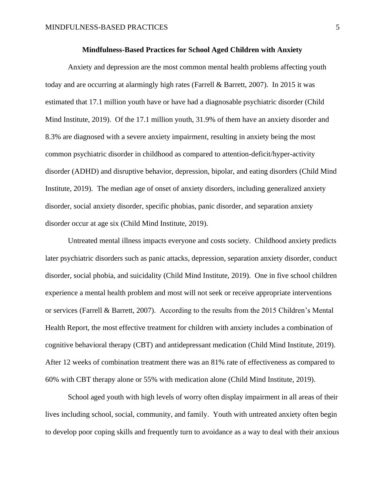#### **Mindfulness-Based Practices for School Aged Children with Anxiety**

Anxiety and depression are the most common mental health problems affecting youth today and are occurring at alarmingly high rates (Farrell & Barrett, 2007). In 2015 it was estimated that 17.1 million youth have or have had a diagnosable psychiatric disorder (Child Mind Institute, 2019). Of the 17.1 million youth, 31.9% of them have an anxiety disorder and 8.3% are diagnosed with a severe anxiety impairment, resulting in anxiety being the most common psychiatric disorder in childhood as compared to attention-deficit/hyper-activity disorder (ADHD) and disruptive behavior, depression, bipolar, and eating disorders (Child Mind Institute, 2019). The median age of onset of anxiety disorders, including generalized anxiety disorder, social anxiety disorder, specific phobias, panic disorder, and separation anxiety disorder occur at age six (Child Mind Institute, 2019).

Untreated mental illness impacts everyone and costs society. Childhood anxiety predicts later psychiatric disorders such as panic attacks, depression, separation anxiety disorder, conduct disorder, social phobia, and suicidality (Child Mind Institute, 2019). One in five school children experience a mental health problem and most will not seek or receive appropriate interventions or services (Farrell & Barrett, 2007). According to the results from the 2015 Children's Mental Health Report, the most effective treatment for children with anxiety includes a combination of cognitive behavioral therapy (CBT) and antidepressant medication (Child Mind Institute, 2019). After 12 weeks of combination treatment there was an 81% rate of effectiveness as compared to 60% with CBT therapy alone or 55% with medication alone (Child Mind Institute, 2019).

School aged youth with high levels of worry often display impairment in all areas of their lives including school, social, community, and family. Youth with untreated anxiety often begin to develop poor coping skills and frequently turn to avoidance as a way to deal with their anxious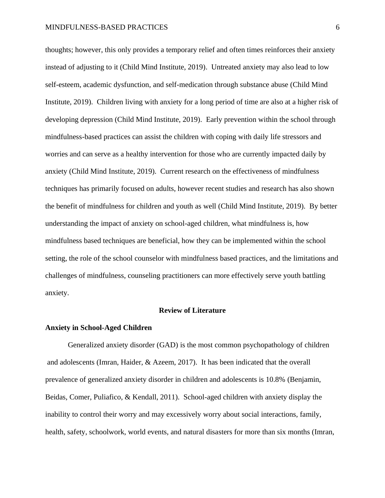thoughts; however, this only provides a temporary relief and often times reinforces their anxiety instead of adjusting to it (Child Mind Institute, 2019). Untreated anxiety may also lead to low self-esteem, academic dysfunction, and self-medication through substance abuse (Child Mind Institute, 2019). Children living with anxiety for a long period of time are also at a higher risk of developing depression (Child Mind Institute, 2019). Early prevention within the school through mindfulness-based practices can assist the children with coping with daily life stressors and worries and can serve as a healthy intervention for those who are currently impacted daily by anxiety (Child Mind Institute, 2019). Current research on the effectiveness of mindfulness techniques has primarily focused on adults, however recent studies and research has also shown the benefit of mindfulness for children and youth as well (Child Mind Institute, 2019). By better understanding the impact of anxiety on school-aged children, what mindfulness is, how mindfulness based techniques are beneficial, how they can be implemented within the school setting, the role of the school counselor with mindfulness based practices, and the limitations and challenges of mindfulness, counseling practitioners can more effectively serve youth battling anxiety.

#### **Review of Literature**

#### **Anxiety in School-Aged Children**

Generalized anxiety disorder (GAD) is the most common psychopathology of children and adolescents (Imran, Haider, & Azeem, 2017). It has been indicated that the overall prevalence of generalized anxiety disorder in children and adolescents is 10.8% (Benjamin, Beidas, Comer, Puliafico, & Kendall, 2011). School-aged children with anxiety display the inability to control their worry and may excessively worry about social interactions, family, health, safety, schoolwork, world events, and natural disasters for more than six months (Imran,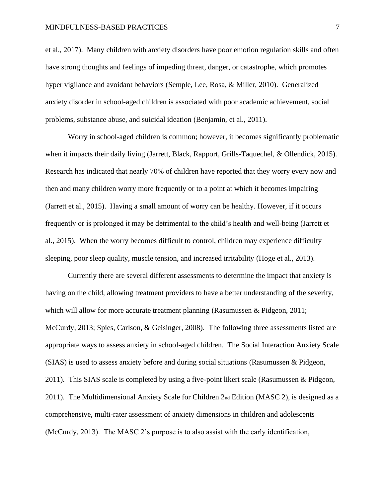#### MINDFULNESS-BASED PRACTICES 7

et al., 2017). Many children with anxiety disorders have poor emotion regulation skills and often have strong thoughts and feelings of impeding threat, danger, or catastrophe, which promotes hyper vigilance and avoidant behaviors (Semple, Lee, Rosa, & Miller, 2010). Generalized anxiety disorder in school-aged children is associated with poor academic achievement, social problems, substance abuse, and suicidal ideation (Benjamin, et al., 2011).

Worry in school-aged children is common; however, it becomes significantly problematic when it impacts their daily living (Jarrett, Black, Rapport, Grills-Taquechel, & Ollendick, 2015). Research has indicated that nearly 70% of children have reported that they worry every now and then and many children worry more frequently or to a point at which it becomes impairing (Jarrett et al., 2015). Having a small amount of worry can be healthy. However, if it occurs frequently or is prolonged it may be detrimental to the child's health and well-being (Jarrett et al., 2015). When the worry becomes difficult to control, children may experience difficulty sleeping, poor sleep quality, muscle tension, and increased irritability (Hoge et al., 2013).

Currently there are several different assessments to determine the impact that anxiety is having on the child, allowing treatment providers to have a better understanding of the severity, which will allow for more accurate treatment planning (Rasumussen & Pidgeon, 2011; McCurdy, 2013; Spies, Carlson, & Geisinger, 2008). The following three assessments listed are appropriate ways to assess anxiety in school-aged children. The Social Interaction Anxiety Scale (SIAS) is used to assess anxiety before and during social situations (Rasumussen & Pidgeon, 2011). This SIAS scale is completed by using a five-point likert scale (Rasumussen & Pidgeon, 2011). The Multidimensional Anxiety Scale for Children  $2<sub>nd</sub>$  Edition (MASC 2), is designed as a comprehensive, multi-rater assessment of anxiety dimensions in children and adolescents (McCurdy, 2013). The MASC 2's purpose is to also assist with the early identification,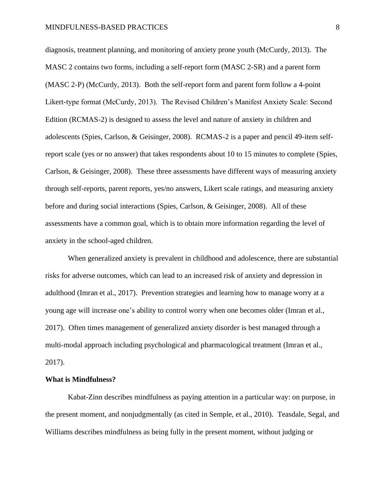diagnosis, treatment planning, and monitoring of anxiety prone youth (McCurdy, 2013). The MASC 2 contains two forms, including a self-report form (MASC 2-SR) and a parent form (MASC 2-P) (McCurdy, 2013). Both the self-report form and parent form follow a 4-point Likert-type format (McCurdy, 2013). The Revised Children's Manifest Anxiety Scale: Second Edition (RCMAS-2) is designed to assess the level and nature of anxiety in children and adolescents (Spies, Carlson, & Geisinger, 2008). RCMAS-2 is a paper and pencil 49-item selfreport scale (yes or no answer) that takes respondents about 10 to 15 minutes to complete (Spies, Carlson, & Geisinger, 2008). These three assessments have different ways of measuring anxiety through self-reports, parent reports, yes/no answers, Likert scale ratings, and measuring anxiety before and during social interactions (Spies, Carlson, & Geisinger, 2008). All of these assessments have a common goal, which is to obtain more information regarding the level of anxiety in the school-aged children.

When generalized anxiety is prevalent in childhood and adolescence, there are substantial risks for adverse outcomes, which can lead to an increased risk of anxiety and depression in adulthood (Imran et al., 2017). Prevention strategies and learning how to manage worry at a young age will increase one's ability to control worry when one becomes older (Imran et al., 2017). Often times management of generalized anxiety disorder is best managed through a multi-modal approach including psychological and pharmacological treatment (Imran et al., 2017).

#### **What is Mindfulness?**

Kabat-Zinn describes mindfulness as paying attention in a particular way: on purpose, in the present moment, and nonjudgmentally (as cited in Semple, et al., 2010). Teasdale, Segal, and Williams describes mindfulness as being fully in the present moment, without judging or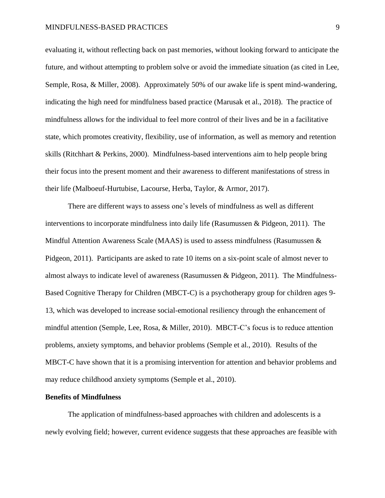evaluating it, without reflecting back on past memories, without looking forward to anticipate the future, and without attempting to problem solve or avoid the immediate situation (as cited in Lee, Semple, Rosa, & Miller, 2008). Approximately 50% of our awake life is spent mind-wandering, indicating the high need for mindfulness based practice (Marusak et al., 2018). The practice of mindfulness allows for the individual to feel more control of their lives and be in a facilitative state, which promotes creativity, flexibility, use of information, as well as memory and retention skills (Ritchhart & Perkins, 2000). Mindfulness-based interventions aim to help people bring their focus into the present moment and their awareness to different manifestations of stress in their life (Malboeuf-Hurtubise, Lacourse, Herba, Taylor, & Armor, 2017).

There are different ways to assess one's levels of mindfulness as well as different interventions to incorporate mindfulness into daily life (Rasumussen & Pidgeon, 2011). The Mindful Attention Awareness Scale (MAAS) is used to assess mindfulness (Rasumussen  $\&$ Pidgeon, 2011). Participants are asked to rate 10 items on a six-point scale of almost never to almost always to indicate level of awareness (Rasumussen & Pidgeon, 2011). The Mindfulness-Based Cognitive Therapy for Children (MBCT-C) is a psychotherapy group for children ages 9- 13, which was developed to increase social-emotional resiliency through the enhancement of mindful attention (Semple, Lee, Rosa, & Miller, 2010). MBCT-C's focus is to reduce attention problems, anxiety symptoms, and behavior problems (Semple et al., 2010). Results of the MBCT-C have shown that it is a promising intervention for attention and behavior problems and may reduce childhood anxiety symptoms (Semple et al., 2010).

#### **Benefits of Mindfulness**

The application of mindfulness-based approaches with children and adolescents is a newly evolving field; however, current evidence suggests that these approaches are feasible with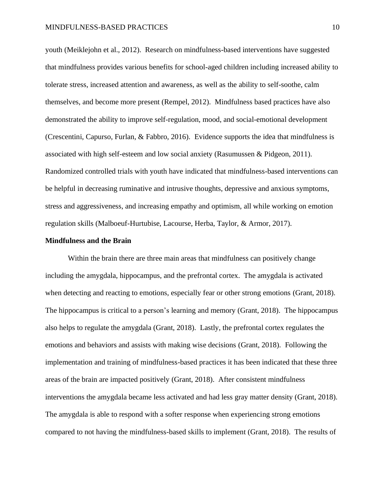youth (Meiklejohn et al., 2012). Research on mindfulness-based interventions have suggested that mindfulness provides various benefits for school-aged children including increased ability to tolerate stress, increased attention and awareness, as well as the ability to self-soothe, calm themselves, and become more present (Rempel, 2012). Mindfulness based practices have also demonstrated the ability to improve self-regulation, mood, and social-emotional development (Crescentini, Capurso, Furlan, & Fabbro, 2016). Evidence supports the idea that mindfulness is associated with high self-esteem and low social anxiety (Rasumussen & Pidgeon, 2011). Randomized controlled trials with youth have indicated that mindfulness-based interventions can be helpful in decreasing ruminative and intrusive thoughts, depressive and anxious symptoms, stress and aggressiveness, and increasing empathy and optimism, all while working on emotion regulation skills (Malboeuf-Hurtubise, Lacourse, Herba, Taylor, & Armor, 2017).

#### **Mindfulness and the Brain**

Within the brain there are three main areas that mindfulness can positively change including the amygdala, hippocampus, and the prefrontal cortex. The amygdala is activated when detecting and reacting to emotions, especially fear or other strong emotions (Grant, 2018). The hippocampus is critical to a person's learning and memory (Grant, 2018). The hippocampus also helps to regulate the amygdala (Grant, 2018). Lastly, the prefrontal cortex regulates the emotions and behaviors and assists with making wise decisions (Grant, 2018). Following the implementation and training of mindfulness-based practices it has been indicated that these three areas of the brain are impacted positively (Grant, 2018). After consistent mindfulness interventions the amygdala became less activated and had less gray matter density (Grant, 2018). The amygdala is able to respond with a softer response when experiencing strong emotions compared to not having the mindfulness-based skills to implement (Grant, 2018). The results of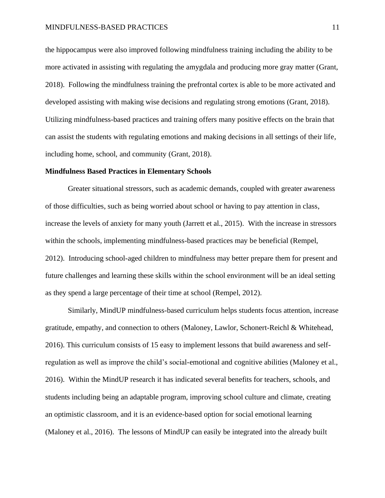the hippocampus were also improved following mindfulness training including the ability to be more activated in assisting with regulating the amygdala and producing more gray matter (Grant, 2018). Following the mindfulness training the prefrontal cortex is able to be more activated and developed assisting with making wise decisions and regulating strong emotions (Grant, 2018). Utilizing mindfulness-based practices and training offers many positive effects on the brain that can assist the students with regulating emotions and making decisions in all settings of their life, including home, school, and community (Grant, 2018).

#### **Mindfulness Based Practices in Elementary Schools**

Greater situational stressors, such as academic demands, coupled with greater awareness of those difficulties, such as being worried about school or having to pay attention in class, increase the levels of anxiety for many youth (Jarrett et al., 2015). With the increase in stressors within the schools, implementing mindfulness-based practices may be beneficial (Rempel, 2012). Introducing school-aged children to mindfulness may better prepare them for present and future challenges and learning these skills within the school environment will be an ideal setting as they spend a large percentage of their time at school (Rempel, 2012).

Similarly, MindUP mindfulness-based curriculum helps students focus attention, increase gratitude, empathy, and connection to others (Maloney, Lawlor, Schonert-Reichl & Whitehead, 2016). This curriculum consists of 15 easy to implement lessons that build awareness and selfregulation as well as improve the child's social-emotional and cognitive abilities (Maloney et al., 2016). Within the MindUP research it has indicated several benefits for teachers, schools, and students including being an adaptable program, improving school culture and climate, creating an optimistic classroom, and it is an evidence-based option for social emotional learning (Maloney et al., 2016). The lessons of MindUP can easily be integrated into the already built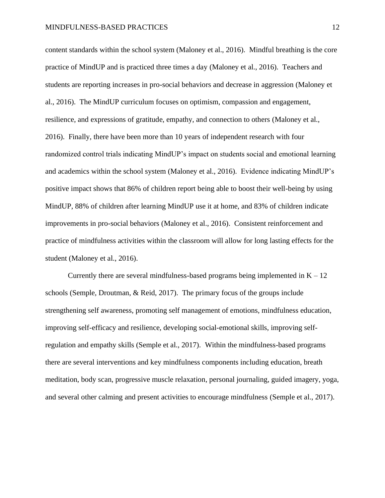content standards within the school system (Maloney et al., 2016). Mindful breathing is the core practice of MindUP and is practiced three times a day (Maloney et al., 2016). Teachers and students are reporting increases in pro-social behaviors and decrease in aggression (Maloney et al., 2016). The MindUP curriculum focuses on optimism, compassion and engagement, resilience, and expressions of gratitude, empathy, and connection to others (Maloney et al., 2016). Finally, there have been more than 10 years of independent research with four randomized control trials indicating MindUP's impact on students social and emotional learning and academics within the school system (Maloney et al., 2016). Evidence indicating MindUP's positive impact shows that 86% of children report being able to boost their well-being by using MindUP, 88% of children after learning MindUP use it at home, and 83% of children indicate improvements in pro-social behaviors (Maloney et al., 2016). Consistent reinforcement and practice of mindfulness activities within the classroom will allow for long lasting effects for the student (Maloney et al., 2016).

Currently there are several mindfulness-based programs being implemented in  $K - 12$ schools (Semple, Droutman, & Reid, 2017). The primary focus of the groups include strengthening self awareness, promoting self management of emotions, mindfulness education, improving self-efficacy and resilience, developing social-emotional skills, improving selfregulation and empathy skills (Semple et al., 2017). Within the mindfulness-based programs there are several interventions and key mindfulness components including education, breath meditation, body scan, progressive muscle relaxation, personal journaling, guided imagery, yoga, and several other calming and present activities to encourage mindfulness (Semple et al., 2017).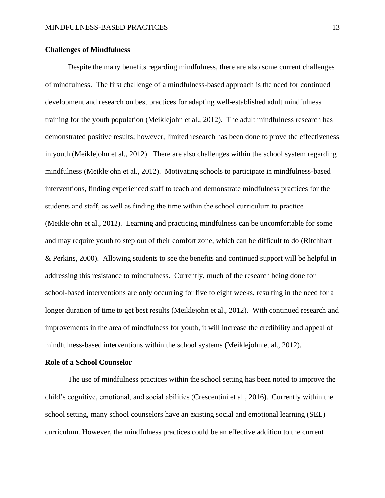#### **Challenges of Mindfulness**

Despite the many benefits regarding mindfulness, there are also some current challenges of mindfulness. The first challenge of a mindfulness-based approach is the need for continued development and research on best practices for adapting well-established adult mindfulness training for the youth population (Meiklejohn et al., 2012). The adult mindfulness research has demonstrated positive results; however, limited research has been done to prove the effectiveness in youth (Meiklejohn et al., 2012). There are also challenges within the school system regarding mindfulness (Meiklejohn et al., 2012). Motivating schools to participate in mindfulness-based interventions, finding experienced staff to teach and demonstrate mindfulness practices for the students and staff, as well as finding the time within the school curriculum to practice (Meiklejohn et al., 2012). Learning and practicing mindfulness can be uncomfortable for some and may require youth to step out of their comfort zone, which can be difficult to do (Ritchhart & Perkins, 2000). Allowing students to see the benefits and continued support will be helpful in addressing this resistance to mindfulness. Currently, much of the research being done for school-based interventions are only occurring for five to eight weeks, resulting in the need for a longer duration of time to get best results (Meiklejohn et al., 2012). With continued research and improvements in the area of mindfulness for youth, it will increase the credibility and appeal of mindfulness-based interventions within the school systems (Meiklejohn et al., 2012).

#### **Role of a School Counselor**

The use of mindfulness practices within the school setting has been noted to improve the child's cognitive, emotional, and social abilities (Crescentini et al., 2016). Currently within the school setting, many school counselors have an existing social and emotional learning (SEL) curriculum. However, the mindfulness practices could be an effective addition to the current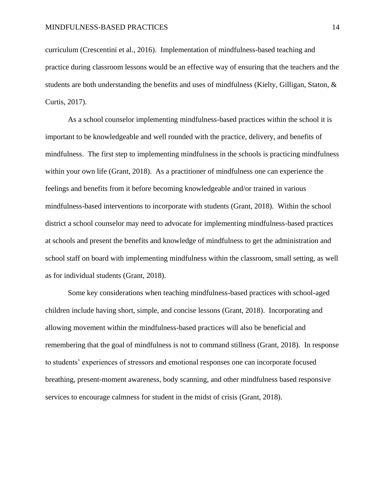curriculum (Crescentini et al., 2016). Implementation of mindfulness-based teaching and practice during classroom lessons would be an effective way of ensuring that the teachers and the students are both understanding the benefits and uses of mindfulness (Kielty, Gilligan, Staton, & Curtis, 2017).

As a school counselor implementing mindfulness-based practices within the school it is important to be knowledgeable and well rounded with the practice, delivery, and benefits of mindfulness. The first step to implementing mindfulness in the schools is practicing mindfulness within your own life (Grant, 2018). As a practitioner of mindfulness one can experience the feelings and benefits from it before becoming knowledgeable and/or trained in various mindfulness-based interventions to incorporate with students (Grant, 2018). Within the school district a school counselor may need to advocate for implementing mindfulness-based practices at schools and present the benefits and knowledge of mindfulness to get the administration and school staff on board with implementing mindfulness within the classroom, small setting, as well as for individual students (Grant, 2018).

Some key considerations when teaching mindfulness-based practices with school-aged children include having short, simple, and concise lessons (Grant, 2018). Incorporating and allowing movement within the mindfulness-based practices will also be beneficial and remembering that the goal of mindfulness is not to command stillness (Grant, 2018). In response to students' experiences of stressors and emotional responses one can incorporate focused breathing, present-moment awareness, body scanning, and other mindfulness based responsive services to encourage calmness for student in the midst of crisis (Grant, 2018).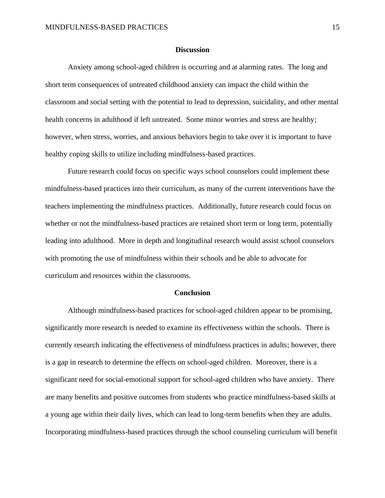#### **Discussion**

Anxiety among school-aged children is occurring and at alarming rates. The long and short term consequences of untreated childhood anxiety can impact the child within the classroom and social setting with the potential to lead to depression, suicidality, and other mental health concerns in adulthood if left untreated. Some minor worries and stress are healthy; however, when stress, worries, and anxious behaviors begin to take over it is important to have healthy coping skills to utilize including mindfulness-based practices.

Future research could focus on specific ways school counselors could implement these mindfulness-based practices into their curriculum, as many of the current interventions have the teachers implementing the mindfulness practices. Additionally, future research could focus on whether or not the mindfulness-based practices are retained short term or long term, potentially leading into adulthood. More in depth and longitudinal research would assist school counselors with promoting the use of mindfulness within their schools and be able to advocate for curriculum and resources within the classrooms.

#### **Conclusion**

Although mindfulness-based practices for school-aged children appear to be promising, significantly more research is needed to examine its effectiveness within the schools. There is currently research indicating the effectiveness of mindfulness practices in adults; however, there is a gap in research to determine the effects on school-aged children. Moreover, there is a significant need for social-emotional support for school-aged children who have anxiety. There are many benefits and positive outcomes from students who practice mindfulness-based skills at a young age within their daily lives, which can lead to long-term benefits when they are adults. Incorporating mindfulness-based practices through the school counseling curriculum will benefit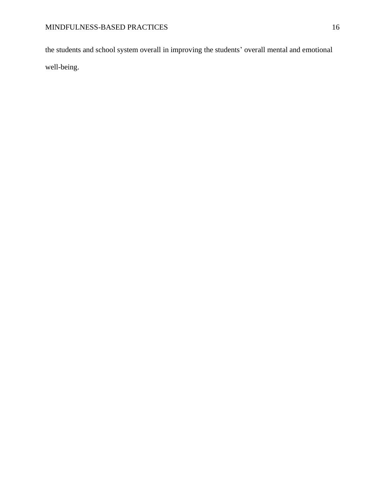the students and school system overall in improving the students' overall mental and emotional well-being.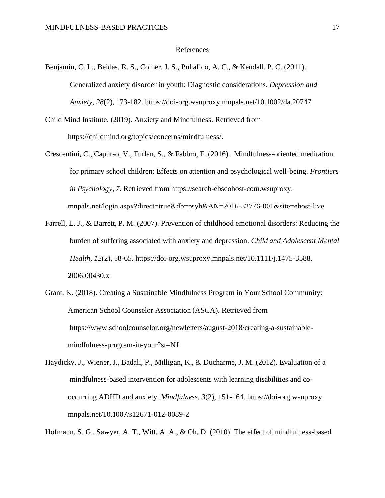#### References

- Benjamin, C. L., Beidas, R. S., Comer, J. S., Puliafico, A. C., & Kendall, P. C. (2011). Generalized anxiety disorder in youth: Diagnostic considerations. *Depression and Anxiety, 28*(2), 173-182. https://doi-org.wsuproxy.mnpals.net/10.1002/da.20747
- Child Mind Institute. (2019). Anxiety and Mindfulness. Retrieved from https://childmind.org/topics/concerns/mindfulness/.
- Crescentini, C., Capurso, V., Furlan, S., & Fabbro, F. (2016). Mindfulness-oriented meditation for primary school children: Effects on attention and psychological well-being. *Frontiers in Psychology, 7.* Retrieved from https://search-ebscohost-com.wsuproxy. mnpals.net/login.aspx?direct=true&db=psyh&AN=2016-32776-001&site=ehost-live
- Farrell, L. J., & Barrett, P. M. (2007). Prevention of childhood emotional disorders: Reducing the burden of suffering associated with anxiety and depression. *Child and Adolescent Mental Health, 12*(2), 58-65. https://doi-org.wsuproxy.mnpals.net/10.1111/j.1475-3588. 2006.00430.x
- Grant, K. (2018). Creating a Sustainable Mindfulness Program in Your School Community: American School Counselor Association (ASCA). Retrieved from https://www.schoolcounselor.org/newletters/august-2018/creating-a-sustainablemindfulness-program-in-your?st=NJ
- Haydicky, J., Wiener, J., Badali, P., Milligan, K., & Ducharme, J. M. (2012). Evaluation of a mindfulness-based intervention for adolescents with learning disabilities and cooccurring ADHD and anxiety. *Mindfulness, 3*(2), 151-164. https://doi-org.wsuproxy. mnpals.net/10.1007/s12671-012-0089-2

Hofmann, S. G., Sawyer, A. T., Witt, A. A., & Oh, D. (2010). The effect of mindfulness-based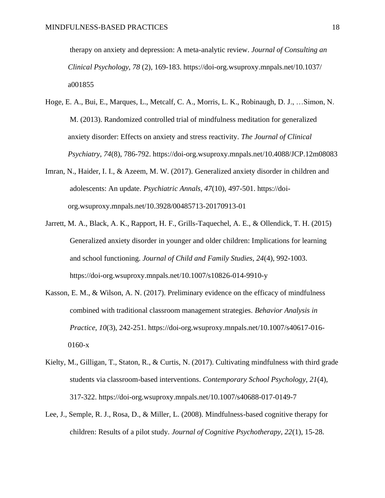therapy on anxiety and depression: A meta-analytic review. *Journal of Consulting an Clinical Psychology, 78* (2), 169-183. https://doi-org.wsuproxy.mnpals.net/10.1037/ a001855

- Hoge, E. A., Bui, E., Marques, L., Metcalf, C. A., Morris, L. K., Robinaugh, D. J., …Simon, N. M. (2013). Randomized controlled trial of mindfulness meditation for generalized anxiety disorder: Effects on anxiety and stress reactivity. *The Journal of Clinical Psychiatry, 74*(8), 786-792. https://doi-org.wsuproxy.mnpals.net/10.4088/JCP.12m08083
- Imran, N., Haider, I. I., & Azeem, M. W. (2017). Generalized anxiety disorder in children and adolescents: An update. *Psychiatric Annals, 47*(10), 497-501. https://doiorg.wsuproxy.mnpals.net/10.3928/00485713-20170913-01
- Jarrett, M. A., Black, A. K., Rapport, H. F., Grills-Taquechel, A. E., & Ollendick, T. H. (2015) Generalized anxiety disorder in younger and older children: Implications for learning and school functioning. *Journal of Child and Family Studies, 24*(4), 992-1003. https://doi-org.wsuproxy.mnpals.net/10.1007/s10826-014-9910-y
- Kasson, E. M., & Wilson, A. N. (2017). Preliminary evidence on the efficacy of mindfulness combined with traditional classroom management strategies. *Behavior Analysis in Practice, 10*(3), 242-251. https://doi-org.wsuproxy.mnpals.net/10.1007/s40617-016- 0160-x
- Kielty, M., Gilligan, T., Staton, R., & Curtis, N. (2017). Cultivating mindfulness with third grade students via classroom-based interventions. *Contemporary School Psychology, 21*(4), 317-322. https://doi-org.wsuproxy.mnpals.net/10.1007/s40688-017-0149-7
- Lee, J., Semple, R. J., Rosa, D., & Miller, L. (2008). Mindfulness-based cognitive therapy for children: Results of a pilot study. *Journal of Cognitive Psychotherapy, 22*(1), 15-28.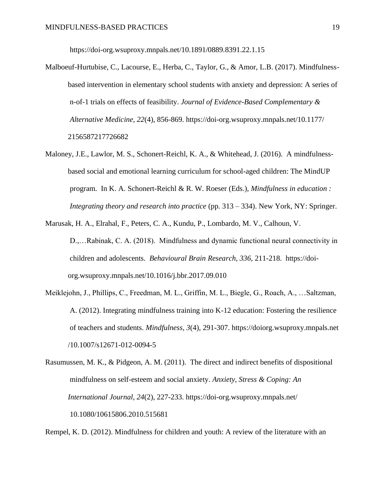https://doi-org.wsuproxy.mnpals.net/10.1891/0889.8391.22.1.15

- Malboeuf-Hurtubise, C., Lacourse, E., Herba, C., Taylor, G., & Amor, L.B. (2017). Mindfulnessbased intervention in elementary school students with anxiety and depression: A series of n-of-1 trials on effects of feasibility. *Journal of Evidence-Based Complementary & Alternative Medicine, 22*(4), 856-869. https://doi-org.wsuproxy.mnpals.net/10.1177/ 2156587217726682
- Maloney, J.E., Lawlor, M. S., Schonert-Reichl, K. A., & Whitehead, J. (2016). A mindfulnessbased social and emotional learning curriculum for school-aged children: The MindUP program. In K. A. Schonert-Reichl & R. W. Roeser (Eds.), *Mindfulness in education : Integrating theory and research into practice* (pp. 313 – 334). New York, NY: Springer.
- Marusak, H. A., Elrahal, F., Peters, C. A., Kundu, P., Lombardo, M. V., Calhoun, V. D.,…Rabinak, C. A. (2018). Mindfulness and dynamic functional neural connectivity in

children and adolescents. *Behavioural Brain Research, 336,* 211-218. https://doiorg.wsuproxy.mnpals.net/10.1016/j.bbr.2017.09.010

- Meiklejohn, J., Phillips, C., Freedman, M. L., Griffin, M. L., Biegle, G., Roach, A., …Saltzman, A. (2012). Integrating mindfulness training into K-12 education: Fostering the resilience of teachers and students. *Mindfulness, 3*(4), 291-307. https://doiorg.wsuproxy.mnpals.net /10.1007/s12671-012-0094-5
- Rasumussen, M. K., & Pidgeon, A. M. (2011). The direct and indirect benefits of dispositional mindfulness on self-esteem and social anxiety. *Anxiety, Stress & Coping: An International Journal, 24*(2), 227-233. https://doi-org.wsuproxy.mnpals.net/ 10.1080/10615806.2010.515681

Rempel, K. D. (2012). Mindfulness for children and youth: A review of the literature with an